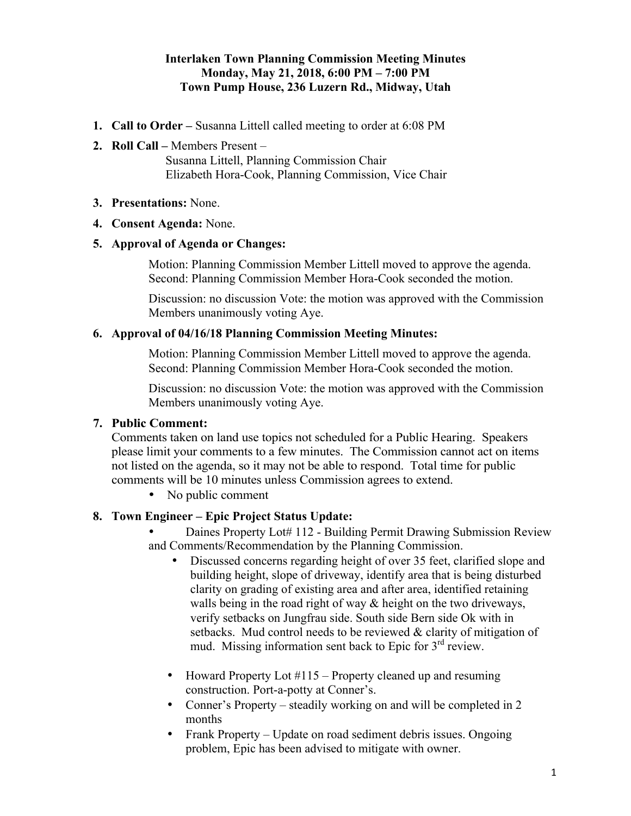# **Interlaken Town Planning Commission Meeting Minutes Monday, May 21, 2018, 6:00 PM – 7:00 PM Town Pump House, 236 Luzern Rd., Midway, Utah**

- **1. Call to Order –** Susanna Littell called meeting to order at 6:08 PM
- **2. Roll Call –** Members Present –

Susanna Littell, Planning Commission Chair Elizabeth Hora-Cook, Planning Commission, Vice Chair

#### **3. Presentations:** None.

#### **4. Consent Agenda:** None.

### **5. Approval of Agenda or Changes:**

Motion: Planning Commission Member Littell moved to approve the agenda. Second: Planning Commission Member Hora-Cook seconded the motion.

Discussion: no discussion Vote: the motion was approved with the Commission Members unanimously voting Aye.

#### **6. Approval of 04/16/18 Planning Commission Meeting Minutes:**

Motion: Planning Commission Member Littell moved to approve the agenda. Second: Planning Commission Member Hora-Cook seconded the motion.

Discussion: no discussion Vote: the motion was approved with the Commission Members unanimously voting Aye.

# **7. Public Comment:**

Comments taken on land use topics not scheduled for a Public Hearing. Speakers please limit your comments to a few minutes. The Commission cannot act on items not listed on the agenda, so it may not be able to respond. Total time for public comments will be 10 minutes unless Commission agrees to extend.

• No public comment

### **8. Town Engineer – Epic Project Status Update:**

• Daines Property Lot# 112 - Building Permit Drawing Submission Review and Comments/Recommendation by the Planning Commission.

- Discussed concerns regarding height of over 35 feet, clarified slope and building height, slope of driveway, identify area that is being disturbed clarity on grading of existing area and after area, identified retaining walls being in the road right of way & height on the two driveways, verify setbacks on Jungfrau side. South side Bern side Ok with in setbacks. Mud control needs to be reviewed & clarity of mitigation of mud. Missing information sent back to Epic for 3<sup>rd</sup> review.
- Howard Property Lot  $\#115$  Property cleaned up and resuming construction. Port-a-potty at Conner's.
- Conner's Property steadily working on and will be completed in 2 months
- Frank Property Update on road sediment debris issues. Ongoing problem, Epic has been advised to mitigate with owner.